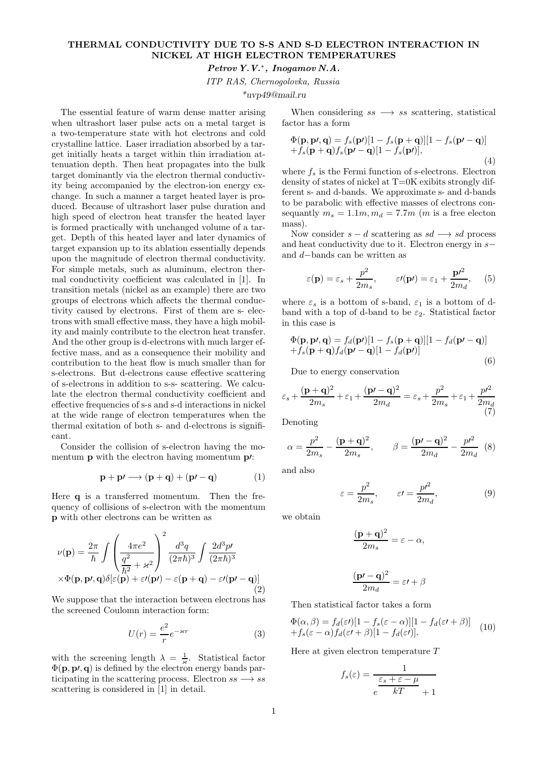## THERMAL CONDUCTIVITY DUE TO S-S AND S-D ELECTRON INTERACTION IN NICKEL AT HIGH ELECTRON TEMPERATURES

## Petrov Y.V.<sup>∗</sup> , Inogamov N.A.

ITP RAS, Chernogolovka, Russia

\*uvp49@mail.ru

The essential feature of warm dense matter arising when ultrashort laser pulse acts on a metal target is a two-temperature state with hot electrons and cold crystalline lattice. Laser irradiation absorbed by a target initially heats a target within thin irradiation attenuation depth. Then heat propagates into the bulk target dominantly via the electron thermal conductivity being accompanied by the electron-ion energy exchange. In such a manner a target heated layer is produced. Because of ultrashort laser pulse duration and high speed of electron heat transfer the heated layer is formed practically with unchanged volume of a target. Depth of this heated layer and later dynamics of target expansion up to its ablation essentially depends upon the magnitude of electron thermal conductivity. For simple metals, such as aluminum, electron thermal conductivity coefficient was calculated in [1]. In transition metals (nickel as an example) there are two groups of electrons which affects the thermal conductivity caused by electrons. First of them are s- electrons with small effective mass, they have a high mobility and mainly contribute to the electron heat transfer. And the other group is d-electrons with much larger effective mass, and as a consequence their mobility and contribution to the heat flow is much smaller than for s-electrons. But d-electrons cause effective scattering of s-electrons in addition to s-s- scattering. We calculate the electron thermal conductivity coefficient and effective frequencies of s-s and s-d interactions in nickel at the wide range of electron temperatures when the thermal exitation of both s- and d-electrons is significant.

Consider the collision of s-electron having the momentum **p** with the electron having momentum **p**/:

$$
\mathbf{p} + \mathbf{p'} \longrightarrow (\mathbf{p} + \mathbf{q}) + (\mathbf{p'} - \mathbf{q}) \tag{1}
$$

Here q is a transferred momentum. Then the frequency of collisions of s-electron with the momentum p with other electrons can be written as

$$
\nu(\mathbf{p}) = \frac{2\pi}{\hbar} \int \left(\frac{4\pi e^2}{\frac{q^2}{\hbar^2} + \varkappa^2}\right)^2 \frac{d^3q}{(2\pi\hbar)^3} \int \frac{2d^3p\prime}{(2\pi\hbar)^3} \times \Phi(\mathbf{p}, \mathbf{p}, \mathbf{q}) \delta[\varepsilon(\mathbf{p}) + \varepsilon\prime(\mathbf{p}\prime) - \varepsilon(\mathbf{p} + \mathbf{q}) - \varepsilon\prime(\mathbf{p}\prime - \mathbf{q})]
$$
\n(2)

We suppose that the interaction between electrons has the screened Coulomn interaction form:

$$
U(r) = \frac{e^2}{r} e^{-\varkappa r}
$$
 (3)

with the screening length  $\lambda = \frac{1}{\varkappa}$ . Statistical factor  $\Phi(\mathbf{p}, \mathbf{p}, \mathbf{q})$  is defined by the electron energy bands participating in the scattering process. Electron  $ss \rightarrow ss$ scattering is considered in [1] in detail.

When considering  $ss \rightarrow ss$  scattering, statistical factor has a form

$$
\Phi(\mathbf{p}, \mathbf{p}, \mathbf{q}) = f_s(\mathbf{p})[1 - f_s(\mathbf{p} + \mathbf{q})][1 - f_s(\mathbf{p} - \mathbf{q})]
$$
  
+ 
$$
f_s(\mathbf{p} + \mathbf{q})f_s(\mathbf{p'} - \mathbf{q})[1 - f_s(\mathbf{p'})],
$$
 (4)

where  $f_s$  is the Fermi function of s-electrons. Electron density of states of nickel at T=0K exibits strongly different s- and d-bands. We approximate s- and d-bands to be parabolic with effective masses of electrons consequantly  $m_s = 1.1m$ ,  $m_d = 7.7m$  (*m* is a free electon mass).

Now consider  $s - d$  scattering as  $sd \rightarrow sd$  process and heat conductivity due to it. Electron energy in s− and d−bands can be written as

$$
\varepsilon(\mathbf{p}) = \varepsilon_s + \frac{p^2}{2m_s}, \qquad \varepsilon\prime(\mathbf{p}\prime) = \varepsilon_1 + \frac{\mathbf{p}\prime^2}{2m_d}, \quad (5)
$$

where  $\varepsilon_s$  is a bottom of s-band,  $\varepsilon_1$  is a bottom of dband with a top of d-band to be  $\varepsilon_2$ . Statistical factor in this case is

$$
\Phi(\mathbf{p}, \mathbf{p}, \mathbf{q}) = f_d(\mathbf{p'})[1 - f_s(\mathbf{p} + \mathbf{q})][1 - f_d(\mathbf{p'} - \mathbf{q})]
$$
  
+  $f_s(\mathbf{p} + \mathbf{q})f_d(\mathbf{p'} - \mathbf{q})[1 - f_d(\mathbf{p'})]$  (6)

Due to energy conservation

$$
\varepsilon_s + \frac{(\mathbf{p} + \mathbf{q})^2}{2m_s} + \varepsilon_1 + \frac{(\mathbf{p'} - \mathbf{q})^2}{2m_d} = \varepsilon_s + \frac{p^2}{2m_s} + \varepsilon_1 + \frac{p^2}{2m_d}
$$
(7)

Denoting

$$
\alpha = \frac{p^2}{2m_s} - \frac{(\mathbf{p} + \mathbf{q})^2}{2m_s}, \qquad \beta = \frac{(\mathbf{p'} - \mathbf{q})^2}{2m_d} - \frac{p^2}{2m_d} \tag{8}
$$

and also

$$
\varepsilon = \frac{p^2}{2m_s}, \qquad \varepsilon' = \frac{p^2}{2m_d}, \tag{9}
$$

we obtain

$$
\frac{(\mathbf{p} + \mathbf{q})^2}{2m_s} = \varepsilon - \alpha,
$$

$$
\frac{(\mathbf{p\prime} - \mathbf{q})^2}{2m_d} = \varepsilon\mathbf{I} + \beta
$$

Then statistical factor takes a form

$$
\Phi(\alpha, \beta) = f_d(\varepsilon t) [1 - f_s(\varepsilon - \alpha)][1 - f_d(\varepsilon t + \beta)]
$$
  
+ 
$$
f_s(\varepsilon - \alpha) f_d(\varepsilon t + \beta)[1 - f_d(\varepsilon t)].
$$
 (10)

Here at given electron temperature T

$$
f_s(\varepsilon) = \frac{1}{\frac{\varepsilon_s + \varepsilon - \mu}{kT} + 1}
$$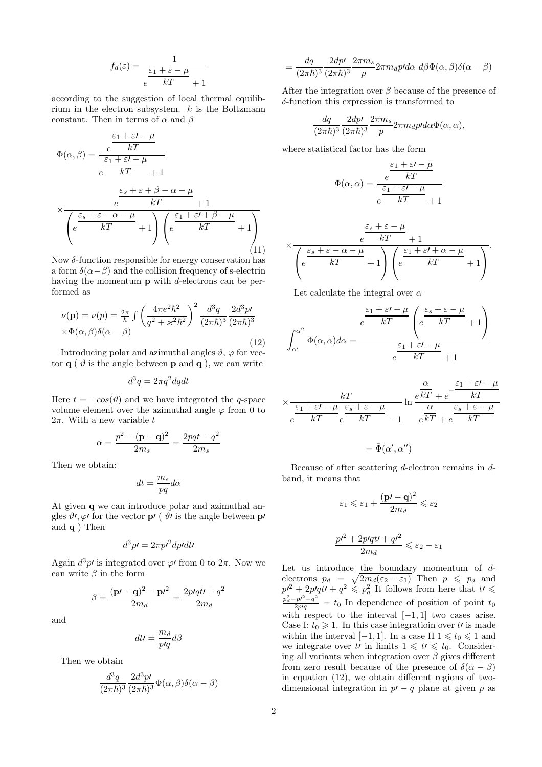$$
f_d(\varepsilon) = \frac{1}{\frac{\varepsilon_1 + \varepsilon - \mu}{kT} + 1}
$$

according to the suggestion of local thermal equilibrium in the electron subsystem.  $k$  is the Boltzmann constant. Then in terms of  $\alpha$  and  $\beta$ 

$$
\Phi(\alpha, \beta) = \frac{\frac{\varepsilon_1 + \varepsilon - \mu}{kT}}{e^{\frac{\varepsilon_1 + \varepsilon - \mu}{kT}} + 1}
$$
\n
$$
\times \frac{\frac{\varepsilon_s + \varepsilon + \beta - \alpha - \mu}{kT} + 1}{\left(e^{\frac{\varepsilon_s + \varepsilon - \alpha - \mu}{kT}} + 1\right)\left(e^{\frac{\varepsilon_1 + \varepsilon' + \beta - \mu}{kT}} + 1\right)}
$$
\n(11)

Now  $\delta$ -function responsible for energy conservation has a form  $\delta(\alpha-\beta)$  and the collision frequency of s-electrin having the momentum  $\bf{p}$  with *d*-electrons can be performed as

$$
\nu(\mathbf{p}) = \nu(p) = \frac{2\pi}{\hbar} \int \left(\frac{4\pi e^2 \hbar^2}{q^2 + \varkappa^2 \hbar^2}\right)^2 \frac{d^3 q}{(2\pi \hbar)^3} \frac{2d^3 p'}{(2\pi \hbar)^3}
$$
  
× $\Phi(\alpha, \beta) \delta(\alpha - \beta)$  (12)

Introducing polar and azimuthal angles  $\vartheta$ ,  $\varphi$  for vector  $\mathbf{q}$  (  $\vartheta$  is the angle between **p** and **q** ), we can write

$$
d^3q=2\pi q^2 dq dt
$$

Here  $t = -cos(\theta)$  and we have integrated the q-space volume element over the azimuthal angle  $\varphi$  from 0 to  $2\pi$ . With a new variable  $t$ 

$$
\alpha=\frac{p^2-(\mathbf{p}+\mathbf{q})^2}{2m_s}=\frac{2pqt-q^2}{2m_s}
$$

Then we obtain:

$$
dt=\frac{m_s}{pq}d\alpha
$$

At given q we can introduce polar and azimuthal angles  $\vartheta$ ,  $\varphi$  for the vector **p** (  $\vartheta$  is the angle between **p** and  $q$ ) Then

$$
d^3p\prime=2\pi p\prime^2dp\prime dt\prime
$$

Again  $d^3p'$  is integrated over  $\varphi'$  from 0 to  $2\pi$ . Now we can write  $\beta$  in the form

$$
\beta = \frac{(\mathbf{p'} - \mathbf{q})^2 - \mathbf{p'}^2}{2m_d} = \frac{2pqdt + q^2}{2m_d}
$$

and

$$
dt\prime=\frac{m_d}{p\prime q}d\beta
$$

Then we obtain

$$
\frac{d^3q}{(2\pi\hbar)^3} \frac{2d^3p}{(2\pi\hbar)^3} \Phi(\alpha,\beta)\delta(\alpha-\beta)
$$

$$
=\frac{dq}{(2\pi\hbar)^{3}}\frac{2dp\prime}{(2\pi\hbar)^{3}}\frac{2\pi m_{s}}{p}2\pi m_{d}p\prime d\alpha\ d\beta\Phi(\alpha,\beta)\delta(\alpha-\beta)
$$

After the integration over  $\beta$  because of the presence of δ-function this expression is transformed to

$$
\frac{dq}{(2\pi\hbar)^3}\frac{2dp\prime}{(2\pi\hbar)^3}\frac{2\pi m_s}{p}2\pi m_d p\prime d\alpha \Phi(\alpha,\alpha),
$$

where statistical factor has the form

$$
\Phi(\alpha,\alpha) = \frac{\frac{\varepsilon_1 + \varepsilon' - \mu}{kT}}{e^{\frac{\varepsilon_1 + \varepsilon' - \mu}{kT}} + 1}
$$

$$
\times \frac{\varepsilon_s + \varepsilon - \mu}{\left(e^{\frac{\varepsilon_s + \varepsilon - \alpha - \mu}{kT} + 1}\right)\left(e^{\frac{\varepsilon_1 + \varepsilon' + \alpha - \mu}{kT} + 1}\right)}.
$$

Let calculate the integral over  $\alpha$ 

$$
\int_{\alpha'}^{\alpha''} \Phi(\alpha, \alpha) d\alpha = \frac{\frac{\varepsilon_1 + \varepsilon' - \mu}{kT} \left(e^{\frac{\varepsilon_s + \varepsilon - \mu}{kT}} + 1\right)}{e^{\frac{\varepsilon_1 + \varepsilon' - \mu}{kT}} + 1}
$$

$$
\times \frac{kT}{e^{\frac{\varepsilon_1 + \varepsilon' - \mu}{kT}}e^{\frac{\varepsilon_s + \varepsilon - \mu}{kT}} - 1} \ln \frac{e^{\frac{\alpha}{kT}} + e^{-\frac{\varepsilon_1 + \varepsilon' - \mu}{kT}}}{e^{\frac{\alpha}{kT}} + e^{\frac{\varepsilon_s + \varepsilon - \mu}{kT}}}
$$

$$
= \tilde{\Phi}(\alpha',\alpha'')
$$

Because of after scattering d-electron remains in dband, it means that

$$
\varepsilon_1 \leqslant \varepsilon_1 + \frac{(\mathbf{p'} - \mathbf{q})^2}{2m_d} \leqslant \varepsilon_2
$$
  

$$
p r^2 + 2p/qt r + q r^2
$$

Let us introduce the boundary momentum of d-  
electrons 
$$
p_d = \sqrt{2m_d(\varepsilon_2 - \varepsilon_1)}
$$
 Then  $p \leq p_d$  and  
 $p l^2 + 2p l q t l + q^2 \leq p_d^2$  It follows from here that  $t l \leq \frac{p_d^2 - p^2 - q^2}{2p q} = t_0$  In dependence of position of point  $t_0$   
with respect to the interval  $[-1, 1]$  two cases arise.  
Case I:  $t_0 \geq 1$ . In this case integration over t' is made  
within the interval  $[-1, 1]$ . In a case II  $1 \leq t_0 \leq 1$  and

we integrate over to in limits  $1 \leq t \leq t_0$ . Considering all variants when integration over  $\beta$  gives different from zero result because of the presence of  $\delta(\alpha - \beta)$ in equation (12), we obtain different regions of twodimensional integration in  $p' - q$  plane at given p as

elect